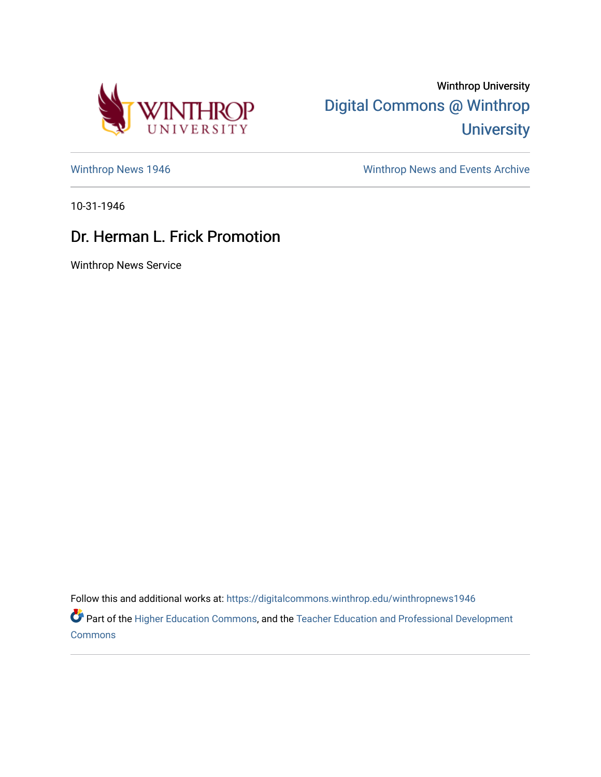

Winthrop University [Digital Commons @ Winthrop](https://digitalcommons.winthrop.edu/)  **University** 

[Winthrop News 1946](https://digitalcommons.winthrop.edu/winthropnews1946) **Winthrop News Archive** 

10-31-1946

## Dr. Herman L. Frick Promotion

Winthrop News Service

Follow this and additional works at: [https://digitalcommons.winthrop.edu/winthropnews1946](https://digitalcommons.winthrop.edu/winthropnews1946?utm_source=digitalcommons.winthrop.edu%2Fwinthropnews1946%2F35&utm_medium=PDF&utm_campaign=PDFCoverPages) 

Part of the [Higher Education Commons,](http://network.bepress.com/hgg/discipline/1245?utm_source=digitalcommons.winthrop.edu%2Fwinthropnews1946%2F35&utm_medium=PDF&utm_campaign=PDFCoverPages) and the Teacher Education and Professional Development **[Commons](http://network.bepress.com/hgg/discipline/803?utm_source=digitalcommons.winthrop.edu%2Fwinthropnews1946%2F35&utm_medium=PDF&utm_campaign=PDFCoverPages)**